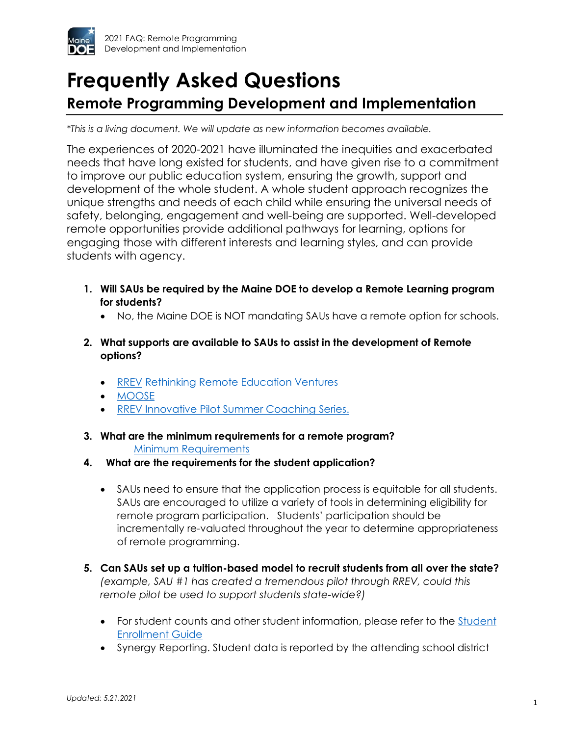

# **Frequently Asked Questions**

# **Remote Programming Development and Implementation**

*\*This is a living document. We will update as new information becomes available.*

The experiences of 2020-2021 have illuminated the inequities and exacerbated needs that have long existed for students, and have given rise to a commitment to improve our public education system, ensuring the growth, support and development of the whole student. A whole student approach recognizes the unique strengths and needs of each child while ensuring the universal needs of safety, belonging, engagement and well-being are supported. Well-developed remote opportunities provide additional pathways for learning, options for engaging those with different interests and learning styles, and can provide students with agency.

- **1. Will SAUs be required by the Maine DOE to develop a Remote Learning program for students?**
	- No, the Maine DOE is NOT mandating SAUs have a remote option for schools.
- **2. What supports are available to SAUs to assist in the development of Remote options?**
	- [RREV](http://maine.gov/doe/rrev) Rethinking Remote Education Ventures
	- [MOOSE](http://maine.gov/doe/MOOSE)
	- [RREV Innovative Pilot Summer Coaching](https://mainedoenews.net/wp-content/uploads/2021/05/Innovative-Summer-Coaching-Series.png) Series.
- **3. What are the minimum requirements for a remote program? [Minimum Requirements](https://www.maine.gov/doe/framework/part-IV)**
- **4. What are the requirements for the student application?** 
	- SAUs need to ensure that the application process is equitable for all students. SAUs are encouraged to utilize a variety of tools in determining eligibility for remote program participation. Students' participation should be incrementally re-valuated throughout the year to determine appropriateness of remote programming.
- **5. Can SAUs set up a tuition-based model to recruit students from all over the state?** *(example, SAU #1 has created a tremendous pilot through RREV, could this remote pilot be used to support students state-wide?)*
	- For student counts and other student information, please refer to the Student [Enrollment Guide](https://www.maine.gov/doe/data-reporting/collection/helpdesk/resources/student-enrollment-guides)
	- Synergy Reporting. Student data is reported by the attending school district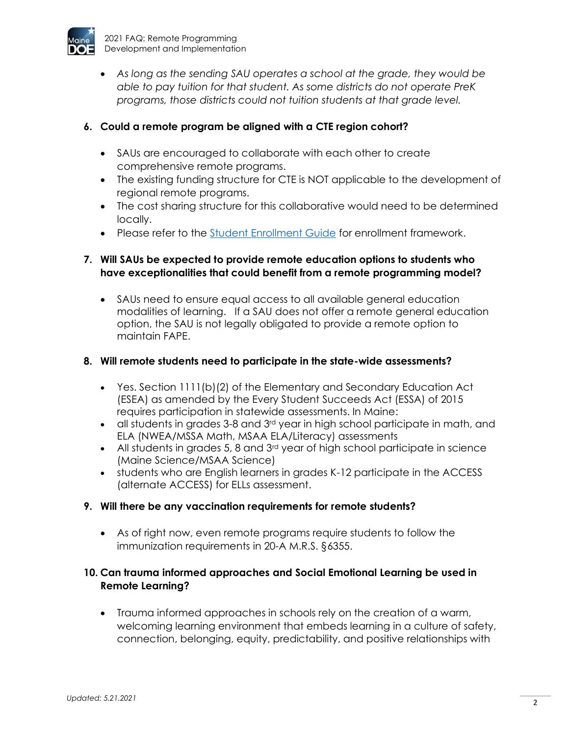

• *As long as the sending SAU operates a school at the grade, they would be able to pay tuition for that student. As some districts do not operate PreK programs, those districts could not tuition students at that grade level.*

### **6. Could a remote program be aligned with a CTE region cohort?**

- SAUs are encouraged to collaborate with each other to create comprehensive remote programs.
- The existing funding structure for CTE is NOT applicable to the development of regional remote programs.
- The cost sharing structure for this collaborative would need to be determined locally.
- Please refer to the [Student Enrollment Guide](https://www.maine.gov/doe/data-reporting/collection/helpdesk/resources/student-enrollment-guides) for enrollment framework.

### **7. Will SAUs be expected to provide remote education options to students who have exceptionalities that could benefit from a remote programming model?**

• SAUs need to ensure equal access to all available general education modalities of learning. If a SAU does not offer a remote general education option, the SAU is not legally obligated to provide a remote option to maintain FAPE.

#### **8. Will remote students need to participate in the state-wide assessments?**

- Yes. Section 1111(b)(2) of the Elementary and Secondary Education Act (ESEA) as amended by the Every Student Succeeds Act (ESSA) of 2015 requires participation in statewide assessments. In Maine:
- $\bullet$  all students in grades 3-8 and 3 $rd$  year in high school participate in math, and ELA (NWEA/MSSA Math, MSAA ELA/Literacy) assessments
- All students in grades 5, 8 and  $3<sup>rd</sup>$  year of high school participate in science (Maine Science/MSAA Science)
- students who are English learners in grades K-12 participate in the ACCESS (alternate ACCESS) for ELLs assessment.

#### **9. Will there be any vaccination requirements for remote students?**

• As of right now, even remote programs require students to follow the immunization requirements in 20-A M.R.S. §6355.

#### **10. Can trauma informed approaches and Social Emotional Learning be used in Remote Learning?**

• Trauma informed approaches in schools rely on the creation of a warm, welcoming learning environment that embeds learning in a culture of safety, connection, belonging, equity, predictability, and positive relationships with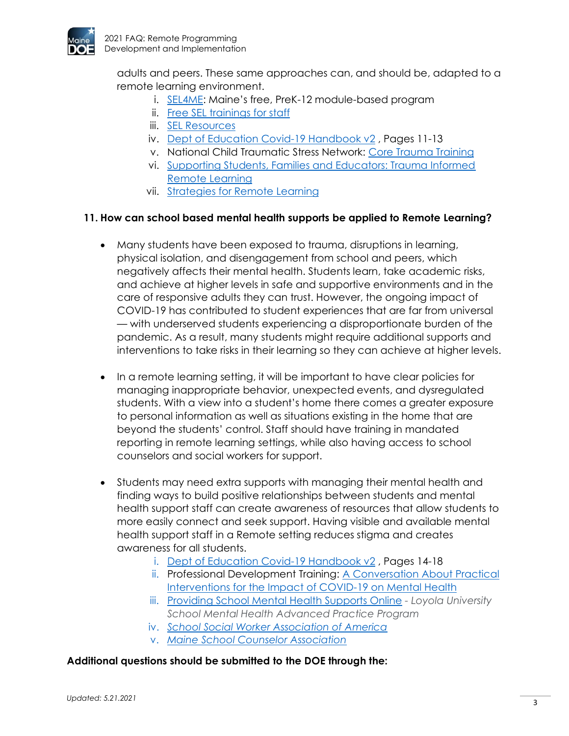

adults and peers. These same approaches can, and should be, adapted to a remote learning environment.

- i. [SEL4ME](https://www.maine.gov/doe/sel/sel4me): Maine's free, PreK-12 module-based program
- ii. [Free SEL trainings for staff](https://www.maine.gov/doe/sel/sel4me/training)
- iii. [SEL Resources](https://www.maine.gov/doe/sel)
- iv. [Dept of Education Covid-19 Handbook v2](https://www2.ed.gov/documents/coronavirus/reopening-2.pdf) , Pages 11-13
- v. National Child Traumatic Stress Network: [Core Trauma Training](https://www.nctsn.org/resources/12-core-concepts-online-interactive-course)
- vi. [Supporting Students, Families and Educators: Trauma Informed](https://traumasensitiveschools.org/wp-content/uploads/2020/04/Trauma-Sensitive-Remote-Learning.pdf)  [Remote Learning](https://traumasensitiveschools.org/wp-content/uploads/2020/04/Trauma-Sensitive-Remote-Learning.pdf)
- vii. [Strategies for Remote Learning](https://selcenter.wested.org/wp-content/uploads/sites/3/2020/05/SEL_Center_Strategies_for_Trauma_Informed_Distance_Learning_Brief.pdf)

#### **11. How can school based mental health supports be applied to Remote Learning?**

- Many students have been exposed to trauma, disruptions in learning, physical isolation, and disengagement from school and peers, which negatively affects their mental health. Students learn, take academic risks, and achieve at higher levels in safe and supportive environments and in the care of responsive adults they can trust. However, the ongoing impact of COVID-19 has contributed to student experiences that are far from universal — with underserved students experiencing a disproportionate burden of the pandemic. As a result, many students might require additional supports and interventions to take risks in their learning so they can achieve at higher levels.
- In a remote learning setting, it will be important to have clear policies for managing inappropriate behavior, unexpected events, and dysregulated students. With a view into a student's home there comes a greater exposure to personal information as well as situations existing in the home that are beyond the students' control. Staff should have training in mandated reporting in remote learning settings, while also having access to school counselors and social workers for support.
- Students may need extra supports with managing their mental health and finding ways to build positive relationships between students and mental health support staff can create awareness of resources that allow students to more easily connect and seek support. Having visible and available mental health support staff in a Remote setting reduces stigma and creates awareness for all students.
	- i. [Dept of Education Covid-19 Handbook v2](https://www2.ed.gov/documents/coronavirus/reopening-2.pdf) , Pages 14-18
	- ii. Professional Development Training: A Conversation About Practical [Interventions for the Impact of COVID-19 on Mental Health](https://gcc02.safelinks.protection.outlook.com/?url=https%3A%2F%2Fyoutu.be%2FdlNmG3BL3w8&data=02%7C01%7CStaci.H.Warren%40maine.gov%7C5da3c72efa804785113d08d854034c0c%7C413fa8ab207d4b629bcdea1a8f2f864e%7C0%7C0%7C637351720419717838&sdata=qyWyZgyjGlRO%2Flh3SNGOkAKU4MXnQjQKdoABC72JS8U%3D&reserved=0)
	- iii. [Providing School Mental Health Supports Online](https://www.youtube.com/watch?v=JaT2EbaKPPI&feature=youtu.be) *- Loyola University School Mental Health Advanced Practice Program*
	- iv. *[School Social Worker Association of America](https://www.sswaa.org/covid-19-resources)*
	- v. *[Maine School Counselor Association](https://meschoolcounselor.org/)*

#### **Additional questions should be submitted to the DOE through the:**